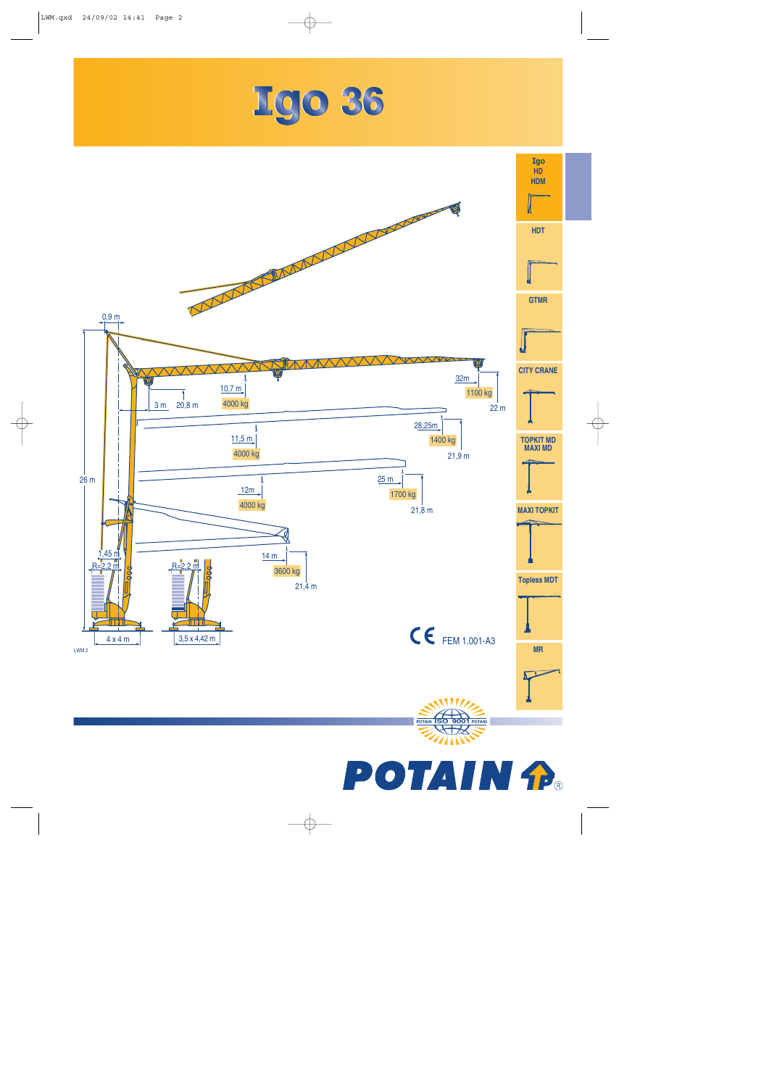





**TAIN**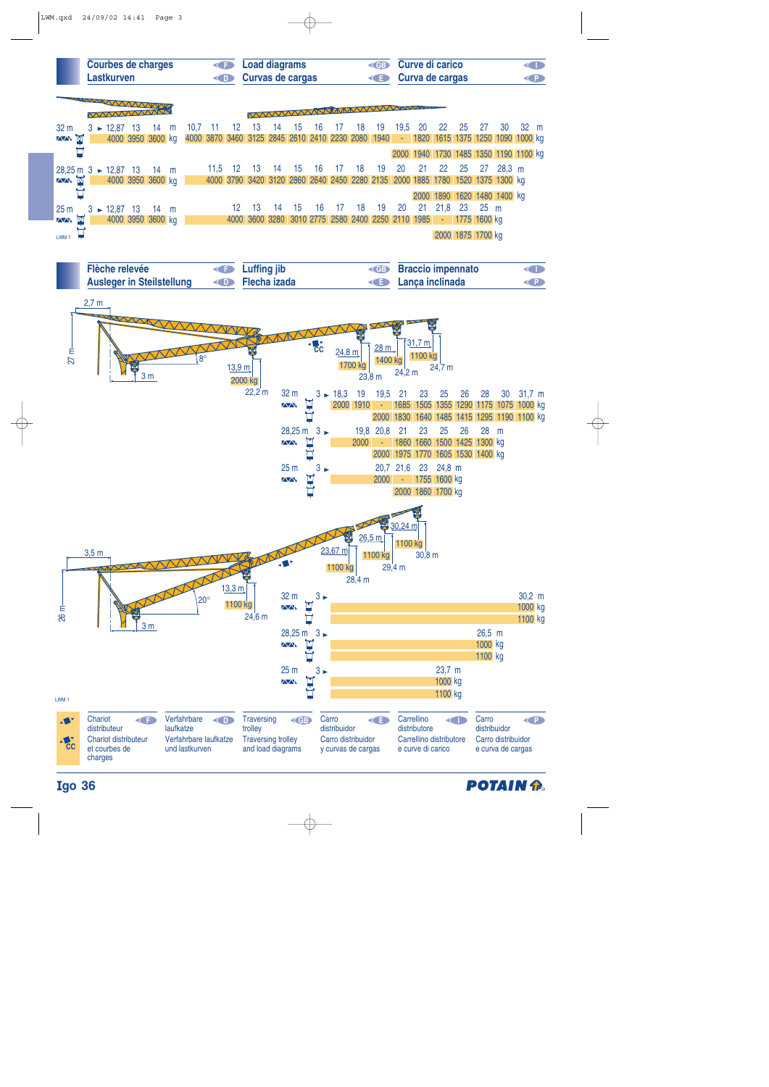

| Flèche relevée                   | <b>Example 1</b> Luffing jib  | <b>Example 3 Straccio impennato</b> | O         |
|----------------------------------|-------------------------------|-------------------------------------|-----------|
| <b>Ausleger in Steilstellung</b> | <b>Example 2 Flecha izada</b> | <b>E</b> Lanca inclinada            | <b>KP</b> |
|                                  |                               |                                     |           |





## **go 36**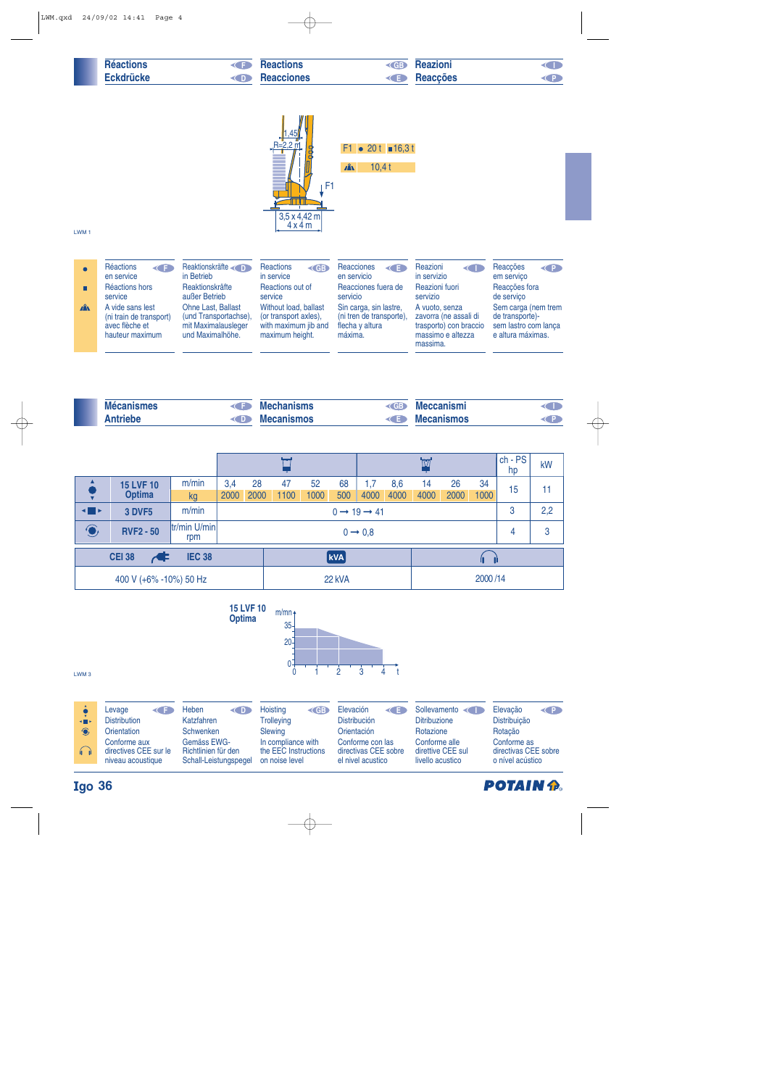|                                  | <b>Réactions</b><br><b>Eckdrücke</b>                                                                                                  | F<br>KD.                                                                                                                                | <b>Reactions</b><br><b>Reacciones</b>                                                                                                                 | <b>CGB</b><br><b>KE</b>                                                                                                                     | <b>Reazioni</b><br><b>Reacções</b>                                                                                                         | O<br><b>CP</b>                                                                                                               |
|----------------------------------|---------------------------------------------------------------------------------------------------------------------------------------|-----------------------------------------------------------------------------------------------------------------------------------------|-------------------------------------------------------------------------------------------------------------------------------------------------------|---------------------------------------------------------------------------------------------------------------------------------------------|--------------------------------------------------------------------------------------------------------------------------------------------|------------------------------------------------------------------------------------------------------------------------------|
| LWM <sub>1</sub>                 |                                                                                                                                       |                                                                                                                                         | ,45<br>$R = 2.2$ m<br>F <sub>1</sub><br>$3,5 \times 4,42 \text{ m}$<br>4x4m                                                                           | • 20 t $\blacksquare$ 16,3 t<br>F1<br>$\mathbf{A}$<br>10,4t                                                                                 |                                                                                                                                            |                                                                                                                              |
| $\bullet$<br>. .<br>$\mathbf{A}$ | Réactions<br>$\leftarrow$<br>en service<br>Réactions hors<br>service<br>A vide sans lest<br>(ni train de transport)<br>avec flèche et | Reaktionskräfte<br>in Betrieb<br>Reaktionskräfte<br>außer Betrieb<br>Ohne Last, Ballast<br>(und Transportachse),<br>mit Maximalausleger | <b>Reactions</b><br><b>KGB</b><br>in service<br>Reactions out of<br>service<br>Without load, ballast<br>(or transport axles),<br>with maximum jib and | Reacciones<br>KE<br>en servicio<br>Reacciones fuera de<br>servicio<br>Sin carga, sin lastre,<br>(ni tren de transporte),<br>flecha y altura | Reazioni<br>$\leftarrow$<br>in servizio<br>Reazioni fuori<br>servizio<br>A vuoto, senza<br>zavorra (ne assali di<br>trasporto) con braccio | Reacções<br>O<br>em serviço<br>Reacções fora<br>de serviço<br>Sem carga (nem trem<br>de transporte)-<br>sem lastro com lanca |

| <b>Mécanismes</b>     | <b>Mechanisms</b> | (CB) | <b>Meccanismi</b> |  |
|-----------------------|-------------------|------|-------------------|--|
| <b>\ntriebe</b><br>DD | <b>Mecanismos</b> |      | <b>Mecanismos</b> |  |

máxima.

massimo e altezza massima.

e altura máximas.

maximum height.

|                                |                                   |                     |                                   |                     |            |            |           |             |             | <b>IV</b>  |            |            | $ch - PS$<br>hp | kW |
|--------------------------------|-----------------------------------|---------------------|-----------------------------------|---------------------|------------|------------|-----------|-------------|-------------|------------|------------|------------|-----------------|----|
|                                | <b>15 LVF 10</b><br><b>Optima</b> | m/min<br>kg         | 3,4<br>2000                       | 28<br>2000          | 47<br>1100 | 52<br>1000 | 68<br>500 | 1,7<br>4000 | 8,6<br>4000 | 14<br>4000 | 26<br>2000 | 34<br>1000 | 15              | 11 |
| $\blacksquare$                 | <b>3 DVF5</b>                     |                     | $0 \rightarrow 19 \rightarrow 41$ |                     |            |            |           |             |             |            | 3          | 2,2        |                 |    |
| $\bigodot$                     | <b>RVF2 - 50</b>                  | tr/min U/min<br>rpm |                                   | $0 \rightarrow 0.8$ |            |            |           |             |             |            |            | 4          | 3               |    |
| <b>IEC 38</b><br><b>CEI 38</b> |                                   |                     |                                   |                     | <b>kVA</b> |            |           |             |             |            |            |            |                 |    |
| 400 V (+6% -10%) 50 Hz         |                                   |                     |                                   |                     | 22 kVA     |            |           |             |             | 2000/14    |            |            |                 |    |



## **go 36**

hauteur maximum

und Maximalhöhe.